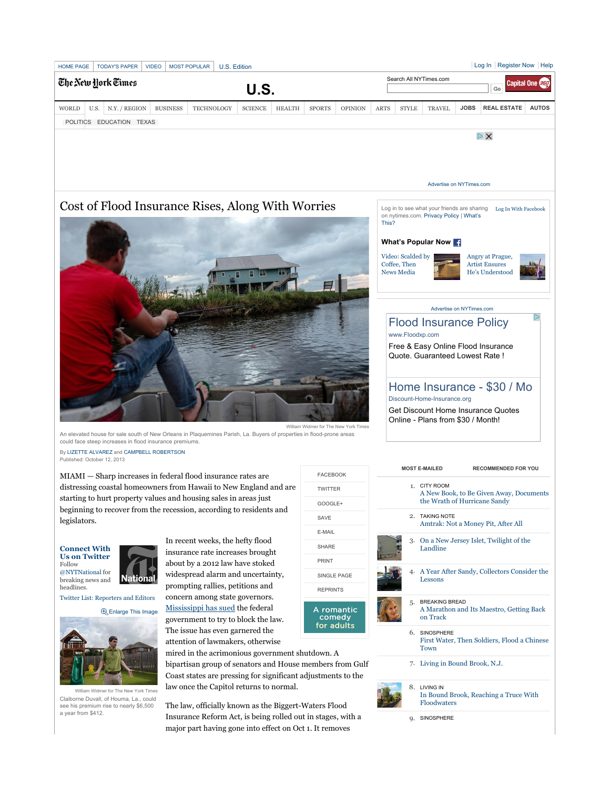